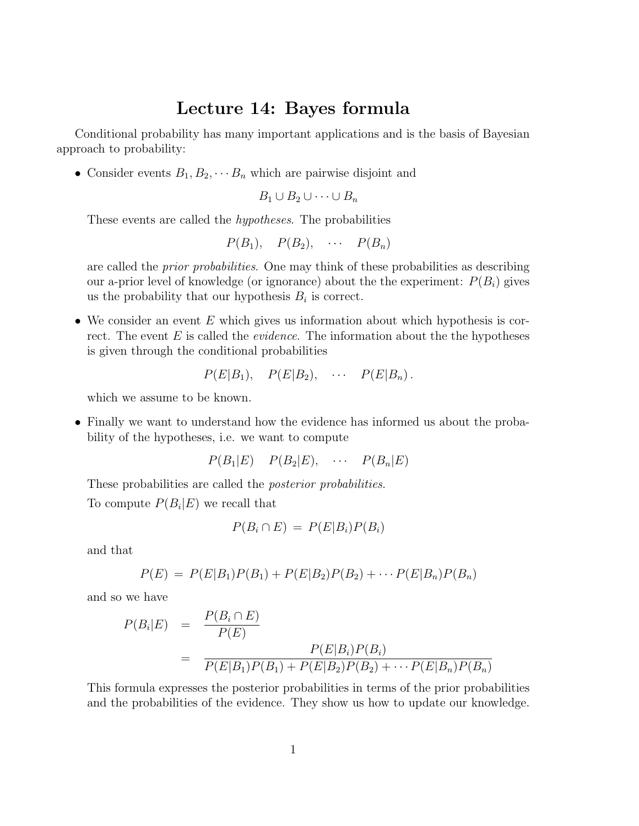## Lecture 14: Bayes formula

Conditional probability has many important applications and is the basis of Bayesian approach to probability:

• Consider events  $B_1, B_2, \cdots, B_n$  which are pairwise disjoint and

$$
B_1 \cup B_2 \cup \cdots \cup B_n
$$

These events are called the hypotheses. The probabilities

$$
P(B_1), \quad P(B_2), \quad \cdots \quad P(B_n)
$$

are called the *prior probabilities*. One may think of these probabilities as describing our a-prior level of knowledge (or ignorance) about the the experiment:  $P(B_i)$  gives us the probability that our hypothesis  $B_i$  is correct.

• We consider an event  $E$  which gives us information about which hypothesis is correct. The event  $E$  is called the *evidence*. The information about the the hypotheses is given through the conditional probabilities

$$
P(E|B_1), P(E|B_2), \cdots P(E|B_n).
$$

which we assume to be known.

• Finally we want to understand how the evidence has informed us about the probability of the hypotheses, i.e. we want to compute

 $P(B_1|E)$   $P(B_2|E)$ ,  $\cdots$   $P(B_n|E)$ 

These probabilities are called the *posterior probabilities*.

To compute  $P(B_i|E)$  we recall that

$$
P(B_i \cap E) = P(E|B_i)P(B_i)
$$

and that

$$
P(E) = P(E|B_1)P(B_1) + P(E|B_2)P(B_2) + \cdots P(E|B_n)P(B_n)
$$

and so we have

$$
P(B_i|E) = \frac{P(B_i \cap E)}{P(E)}
$$
  
= 
$$
\frac{P(E|B_i)P(B_i)}{P(E|B_1)P(B_1) + P(E|B_2)P(B_2) + \cdots P(E|B_n)P(B_n)}
$$

This formula expresses the posterior probabilities in terms of the prior probabilities and the probabilities of the evidence. They show us how to update our knowledge.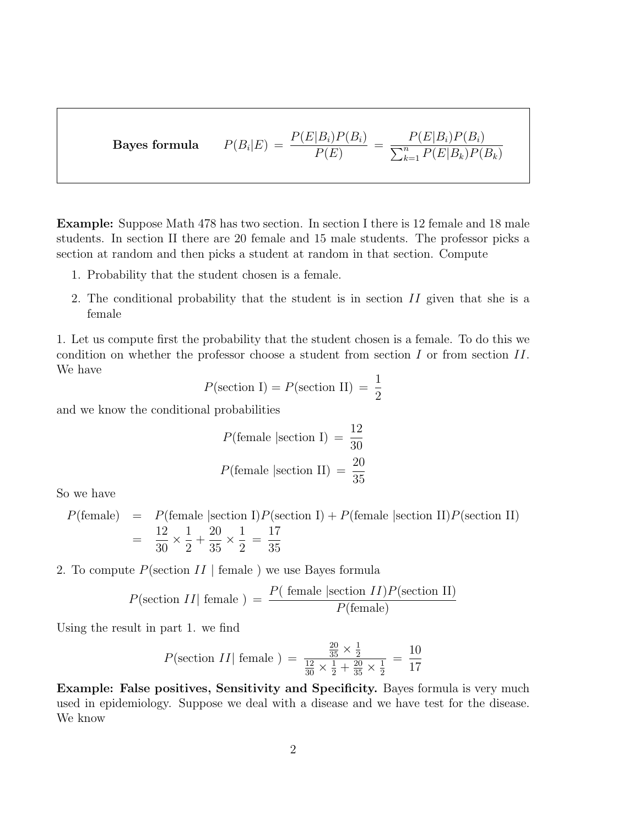$\operatorname{Bayes}$  formula  $|E) = \frac{P(E|B_i)P(B_i)}{P(E)}$  $P(E)$  $= \frac{P(E|B_i)P(B_i)}{\sum_{i=1}^n P(E|B_i)P(E_i)}$  $\sum_{k=1}^{n} P(E|B_k)P(B_k)$ 

Example: Suppose Math 478 has two section. In section I there is 12 female and 18 male students. In section II there are 20 female and 15 male students. The professor picks a section at random and then picks a student at random in that section. Compute

- 1. Probability that the student chosen is a female.
- 2. The conditional probability that the student is in section II given that she is a female

1. Let us compute first the probability that the student chosen is a female. To do this we condition on whether the professor choose a student from section  $I$  or from section  $II$ . We have

$$
P(\text{section I}) = P(\text{section II}) = \frac{1}{2}
$$

and we know the conditional probabilities

$$
P(\text{female }|\text{section I}) = \frac{12}{30}
$$

$$
P(\text{female }|\text{section II}) = \frac{20}{35}
$$

So we have

 $P(\text{female}) = P(\text{female}|\text{section I})P(\text{section I}) + P(\text{female}|\text{section II})P(\text{section II})$ = 12 30  $\times \frac{1}{2}$ 2  $+$ 20 35  $\times \frac{1}{2}$ 2 = 17 35

2. To compute  $P(\text{section } II \mid \text{female } )$  we use Bayes formula

$$
P(\text{section } II | \text{ female } ) = \frac{P(\text{ female } | \text{section } II)P(\text{section } II)}{P(\text{female})}
$$

Using the result in part 1. we find

$$
P(\text{section } II | \text{ female } ) = \frac{\frac{20}{35} \times \frac{1}{2}}{\frac{12}{30} \times \frac{1}{2} + \frac{20}{35} \times \frac{1}{2}} = \frac{10}{17}
$$

Example: False positives, Sensitivity and Specificity. Bayes formula is very much used in epidemiology. Suppose we deal with a disease and we have test for the disease. We know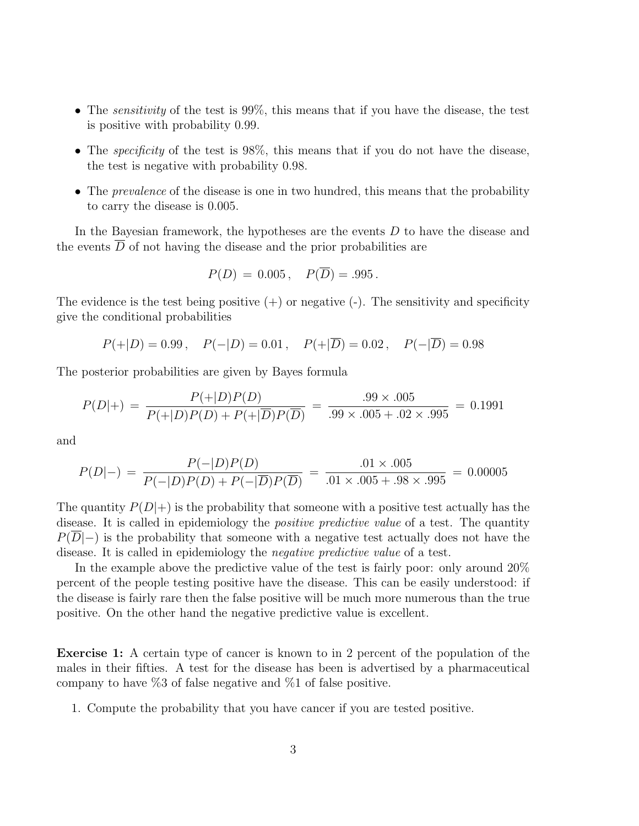- The *sensitivity* of the test is  $99\%$ , this means that if you have the disease, the test is positive with probability 0.99.
- The *specificity* of the test is 98%, this means that if you do not have the disease, the test is negative with probability 0.98.
- The *prevalence* of the disease is one in two hundred, this means that the probability to carry the disease is 0.005.

In the Bayesian framework, the hypotheses are the events D to have the disease and the events  $\overline{D}$  of not having the disease and the prior probabilities are

$$
P(D) = 0.005
$$
,  $P(\overline{D}) = .995$ .

The evidence is the test being positive  $(+)$  or negative  $(-)$ . The sensitivity and specificity give the conditional probabilities

$$
P(+|D) = 0.99
$$
,  $P(-|D) = 0.01$ ,  $P(+|\overline{D}) = 0.02$ ,  $P(-|\overline{D}) = 0.98$ 

The posterior probabilities are given by Bayes formula

$$
P(D|+) = \frac{P(+|D)P(D)}{P(+|D)P(D) + P(+|\overline{D})P(\overline{D})} = \frac{.99 \times .005}{.99 \times .005 + .02 \times .995} = 0.1991
$$

and

$$
P(D|-) = \frac{P(-|D)P(D)}{P(-|D)P(D) + P(-|\overline{D})P(\overline{D})} = \frac{.01 \times .005}{.01 \times .005 + .98 \times .995} = 0.00005
$$

The quantity  $P(D|+)$  is the probability that someone with a positive test actually has the disease. It is called in epidemiology the *positive predictive value* of a test. The quantity  $P(D|-)$  is the probability that someone with a negative test actually does not have the disease. It is called in epidemiology the negative predictive value of a test.

In the example above the predictive value of the test is fairly poor: only around 20% percent of the people testing positive have the disease. This can be easily understood: if the disease is fairly rare then the false positive will be much more numerous than the true positive. On the other hand the negative predictive value is excellent.

Exercise 1: A certain type of cancer is known to in 2 percent of the population of the males in their fifties. A test for the disease has been is advertised by a pharmaceutical company to have  $\%3$  of false negative and  $\%1$  of false positive.

1. Compute the probability that you have cancer if you are tested positive.